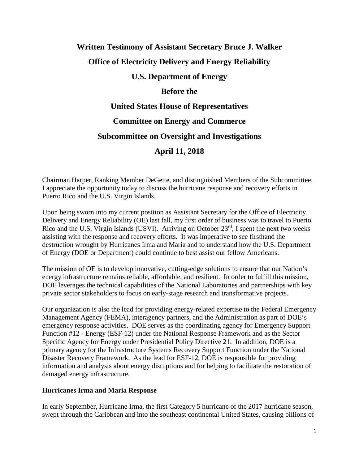# **Written Testimony of Assistant Secretary Bruce J. Walker Office of Electricity Delivery and Energy Reliability U.S. Department of Energy Before the United States House of Representatives Committee on Energy and Commerce**

### **Subcommittee on Oversight and Investigations**

## **April 11, 2018**

Chairman Harper, Ranking Member DeGette, and distinguished Members of the Subcommittee, I appreciate the opportunity today to discuss the hurricane response and recovery efforts in Puerto Rico and the U.S. Virgin Islands.

Upon being sworn into my current position as Assistant Secretary for the Office of Electricity Delivery and Energy Reliability (OE) last fall, my first order of business was to travel to Puerto Rico and the U.S. Virgin Islands (USVI). Arriving on October 23<sup>rd</sup>, I spent the next two weeks assisting with the response and recovery efforts. It was imperative to see firsthand the destruction wrought by Hurricanes Irma and Maria and to understand how the U.S. Department of Energy (DOE or Department) could continue to best assist our fellow Americans.

The mission of OE is to develop innovative, cutting-edge solutions to ensure that our Nation's energy infrastructure remains reliable, affordable, and resilient. In order to fulfill this mission, DOE leverages the technical capabilities of the National Laboratories and partnerships with key private sector stakeholders to focus on early-stage research and transformative projects.

Our organization is also the lead for providing energy-related expertise to the Federal Emergency Management Agency (FEMA), interagency partners, and the Administration as part of DOE's emergency response activities. DOE serves as the coordinating agency for Emergency Support Function #12 - Energy (ESF-12) under the National Response Framework and as the Sector Specific Agency for Energy under Presidential Policy Directive 21. In addition, DOE is a primary agency for the Infrastructure Systems Recovery Support Function under the National Disaster Recovery Framework. As the lead for ESF-12, DOE is responsible for providing information and analysis about energy disruptions and for helping to facilitate the restoration of damaged energy infrastructure.

#### **Hurricanes Irma and Maria Response**

In early September, Hurricane Irma, the first Category 5 hurricane of the 2017 hurricane season, swept through the Caribbean and into the southeast continental United States, causing billions of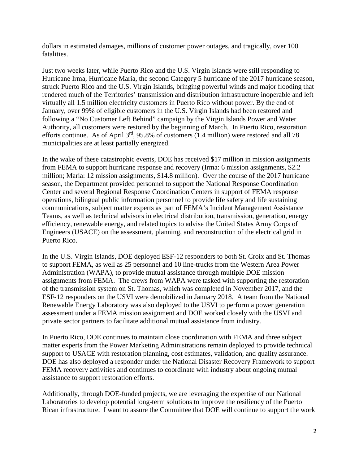dollars in estimated damages, millions of customer power outages, and tragically, over 100 fatalities.

Just two weeks later, while Puerto Rico and the U.S. Virgin Islands were still responding to Hurricane Irma, Hurricane Maria, the second Category 5 hurricane of the 2017 hurricane season, struck Puerto Rico and the U.S. Virgin Islands, bringing powerful winds and major flooding that rendered much of the Territories' transmission and distribution infrastructure inoperable and left virtually all 1.5 million electricity customers in Puerto Rico without power. By the end of January, over 99% of eligible customers in the U.S. Virgin Islands had been restored and following a "No Customer Left Behind" campaign by the Virgin Islands Power and Water Authority, all customers were restored by the beginning of March. In Puerto Rico, restoration efforts continue. As of April  $3<sup>rd</sup>$ , 95.8% of customers (1.4 million) were restored and all 78 municipalities are at least partially energized.

In the wake of these catastrophic events, DOE has received \$17 million in mission assignments from FEMA to support hurricane response and recovery (Irma: 6 mission assignments, \$2.2 million; Maria: 12 mission assignments, \$14.8 million). Over the course of the 2017 hurricane season, the Department provided personnel to support the National Response Coordination Center and several Regional Response Coordination Centers in support of FEMA response operations, bilingual public information personnel to provide life safety and life sustaining communications, subject matter experts as part of FEMA's Incident Management Assistance Teams, as well as technical advisors in electrical distribution, transmission, generation, energy efficiency, renewable energy, and related topics to advise the United States Army Corps of Engineers (USACE) on the assessment, planning, and reconstruction of the electrical grid in Puerto Rico.

In the U.S. Virgin Islands, DOE deployed ESF-12 responders to both St. Croix and St. Thomas to support FEMA, as well as 25 personnel and 10 line-trucks from the Western Area Power Administration (WAPA), to provide mutual assistance through multiple DOE mission assignments from FEMA. The crews from WAPA were tasked with supporting the restoration of the transmission system on St. Thomas, which was completed in November 2017, and the ESF-12 responders on the USVI were demobilized in January 2018. A team from the National Renewable Energy Laboratory was also deployed to the USVI to perform a power generation assessment under a FEMA mission assignment and DOE worked closely with the USVI and private sector partners to facilitate additional mutual assistance from industry.

In Puerto Rico, DOE continues to maintain close coordination with FEMA and three subject matter experts from the Power Marketing Administrations remain deployed to provide technical support to USACE with restoration planning, cost estimates, validation, and quality assurance. DOE has also deployed a responder under the National Disaster Recovery Framework to support FEMA recovery activities and continues to coordinate with industry about ongoing mutual assistance to support restoration efforts.

Additionally, through DOE-funded projects, we are leveraging the expertise of our National Laboratories to develop potential long-term solutions to improve the resiliency of the Puerto Rican infrastructure. I want to assure the Committee that DOE will continue to support the work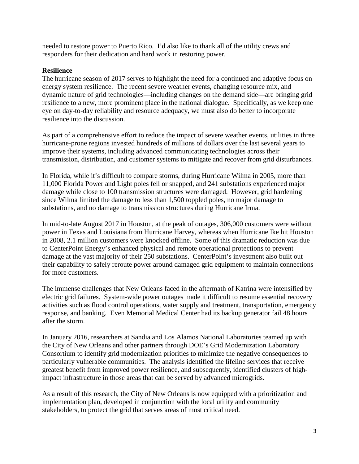needed to restore power to Puerto Rico. I'd also like to thank all of the utility crews and responders for their dedication and hard work in restoring power.

#### **Resilience**

The hurricane season of 2017 serves to highlight the need for a continued and adaptive focus on energy system resilience. The recent severe weather events, changing resource mix, and dynamic nature of grid technologies—including changes on the demand side—are bringing grid resilience to a new, more prominent place in the national dialogue. Specifically, as we keep one eye on day-to-day reliability and resource adequacy, we must also do better to incorporate resilience into the discussion.

As part of a comprehensive effort to reduce the impact of severe weather events, utilities in three hurricane-prone regions invested hundreds of millions of dollars over the last several years to improve their systems, including advanced communicating technologies across their transmission, distribution, and customer systems to mitigate and recover from grid disturbances.

In Florida, while it's difficult to compare storms, during Hurricane Wilma in 2005, more than 11,000 Florida Power and Light poles fell or snapped, and 241 substations experienced major damage while close to 100 transmission structures were damaged. However, grid hardening since Wilma limited the damage to less than 1,500 toppled poles, no major damage to substations, and no damage to transmission structures during Hurricane Irma.

In mid-to-late August 2017 in Houston, at the peak of outages, 306,000 customers were without power in Texas and Louisiana from Hurricane Harvey, whereas when Hurricane Ike hit Houston in 2008, 2.1 million customers were knocked offline. Some of this dramatic reduction was due to CenterPoint Energy's enhanced physical and remote operational protections to prevent damage at the vast majority of their 250 substations. CenterPoint's investment also built out their capability to safely reroute power around damaged grid equipment to maintain connections for more customers.

The immense challenges that New Orleans faced in the aftermath of Katrina were intensified by electric grid failures. System-wide power outages made it difficult to resume essential recovery activities such as flood control operations, water supply and treatment, transportation, emergency response, and banking. Even Memorial Medical Center had its backup generator fail 48 hours after the storm.

In January 2016, researchers at Sandia and Los Alamos National Laboratories teamed up with the City of New Orleans and other partners through DOE's Grid Modernization Laboratory Consortium to identify grid modernization priorities to minimize the negative consequences to particularly vulnerable communities. The analysis identified the lifeline services that receive greatest benefit from improved power resilience, and subsequently, identified clusters of highimpact infrastructure in those areas that can be served by advanced microgrids.

As a result of this research, the City of New Orleans is now equipped with a prioritization and implementation plan, developed in conjunction with the local utility and community stakeholders, to protect the grid that serves areas of most critical need.